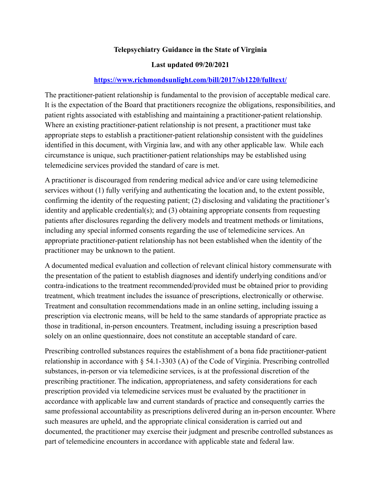## **[Telepsychiatry Guidance in the State of Virginia](https://www.choosingtherapy.com/superbill/)**

#### **Last updated 09/20/2021**

### **<https://www.richmondsunlight.com/bill/2017/sb1220/fulltext/>**

The practitioner-patient relationship is fundamental to the provision of acceptable medical care. It is the expectation of the Board that practitioners recognize the obligations, responsibilities, and patient rights associated with establishing and maintaining a practitioner-patient relationship. Where an existing practitioner-patient relationship is not present, a practitioner must take appropriate steps to establish a practitioner-patient relationship consistent with the guidelines identified in this document, with Virginia law, and with any other applicable law. While each circumstance is unique, such practitioner-patient relationships may be established using telemedicine services provided the standard of care is met.

A practitioner is discouraged from rendering medical advice and/or care using telemedicine services without (1) fully verifying and authenticating the location and, to the extent possible, confirming the identity of the requesting patient; (2) disclosing and validating the practitioner's identity and applicable credential(s); and (3) obtaining appropriate consents from requesting patients after disclosures regarding the delivery models and treatment methods or limitations, including any special informed consents regarding the use of telemedicine services. An appropriate practitioner-patient relationship has not been established when the identity of the practitioner may be unknown to the patient.

A documented medical evaluation and collection of relevant clinical history commensurate with the presentation of the patient to establish diagnoses and identify underlying conditions and/or contra-indications to the treatment recommended/provided must be obtained prior to providing treatment, which treatment includes the issuance of prescriptions, electronically or otherwise. Treatment and consultation recommendations made in an online setting, including issuing a prescription via electronic means, will be held to the same standards of appropriate practice as those in traditional, in-person encounters. Treatment, including issuing a prescription based solely on an online questionnaire, does not constitute an acceptable standard of care.

Prescribing controlled substances requires the establishment of a bona fide practitioner-patient relationship in accordance with § 54.1-3303 (A) of the Code of Virginia. Prescribing controlled substances, in-person or via telemedicine services, is at the professional discretion of the prescribing practitioner. The indication, appropriateness, and safety considerations for each prescription provided via telemedicine services must be evaluated by the practitioner in accordance with applicable law and current standards of practice and consequently carries the same professional accountability as prescriptions delivered during an in-person encounter. Where such measures are upheld, and the appropriate clinical consideration is carried out and documented, the practitioner may exercise their judgment and prescribe controlled substances as part of telemedicine encounters in accordance with applicable state and federal law.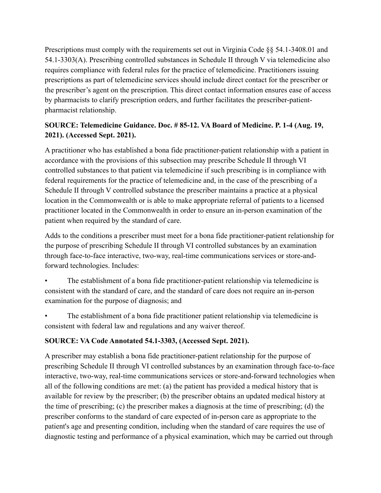Prescriptions must comply with the requirements set out in Virginia Code §§ 54.1-3408.01 and 54.1-3303(A). Prescribing controlled substances in Schedule II through V via telemedicine also requires compliance with federal rules for the practice of telemedicine. Practitioners issuing prescriptions as part of telemedicine services should include direct contact for the prescriber or the prescriber's agent on the prescription. This direct contact information ensures ease of access by pharmacists to clarify prescription orders, and further facilitates the prescriber-patientpharmacist relationship.

# **SOURCE: Telemedicine Guidance. Doc. # 85-12. VA Board of Medicine. P. 1-4 (Aug. 19, 2021). (Accessed Sept. 2021).**

A practitioner who has established a bona fide practitioner-patient relationship with a patient in accordance with the provisions of this subsection may prescribe Schedule II through VI controlled substances to that patient via telemedicine if such prescribing is in compliance with federal requirements for the practice of telemedicine and, in the case of the prescribing of a Schedule II through V controlled substance the prescriber maintains a practice at a physical location in the Commonwealth or is able to make appropriate referral of patients to a licensed practitioner located in the Commonwealth in order to ensure an in-person examination of the patient when required by the standard of care.

Adds to the conditions a prescriber must meet for a bona fide practitioner-patient relationship for the purpose of prescribing Schedule II through VI controlled substances by an examination through face-to-face interactive, two-way, real-time communications services or store-andforward technologies. Includes:

• The establishment of a bona fide practitioner-patient relationship via telemedicine is consistent with the standard of care, and the standard of care does not require an in-person examination for the purpose of diagnosis; and

• The establishment of a bona fide practitioner patient relationship via telemedicine is consistent with federal law and regulations and any waiver thereof.

# **SOURCE: VA Code Annotated 54.1-3303, (Accessed Sept. 2021).**

A prescriber may establish a bona fide practitioner-patient relationship for the purpose of prescribing Schedule II through VI controlled substances by an examination through face-to-face interactive, two-way, real-time communications services or store-and-forward technologies when all of the following conditions are met: (a) the patient has provided a medical history that is available for review by the prescriber; (b) the prescriber obtains an updated medical history at the time of prescribing; (c) the prescriber makes a diagnosis at the time of prescribing; (d) the prescriber conforms to the standard of care expected of in-person care as appropriate to the patient's age and presenting condition, including when the standard of care requires the use of diagnostic testing and performance of a physical examination, which may be carried out through